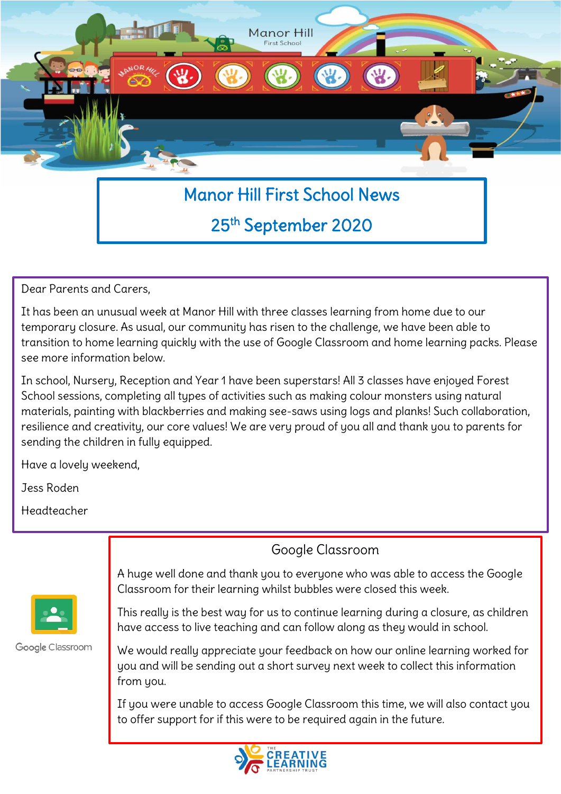

# 25<sup>th</sup> September 2020

Dear Parents and Carers,

It has been an unusual week at Manor Hill with three classes learning from home due to our temporary closure. As usual, our community has risen to the challenge, we have been able to transition to home learning quickly with the use of Google Classroom and home learning packs. Please see more information below.

In school, Nursery, Reception and Year 1 have been superstars! All 3 classes have enjoyed Forest School sessions, completing all types of activities such as making colour monsters using natural materials, painting with blackberries and making see-saws using logs and planks! Such collaboration, resilience and creativity, our core values! We are very proud of you all and thank you to parents for sending the children in fully equipped.

Have a lovely weekend,

Jess Roden

Headteacher

Google Classroom



Google Classroom

A huge well done and thank you to everyone who was able to access the Google Classroom for their learning whilst bubbles were closed this week.

This really is the best way for us to continue learning during a closure, as children have access to live teaching and can follow along as they would in school.

We would really appreciate your feedback on how our online learning worked for you and will be sending out a short survey next week to collect this information from you.

If you were unable to access Google Classroom this time, we will also contact you to offer support for if this were to be required again in the future.